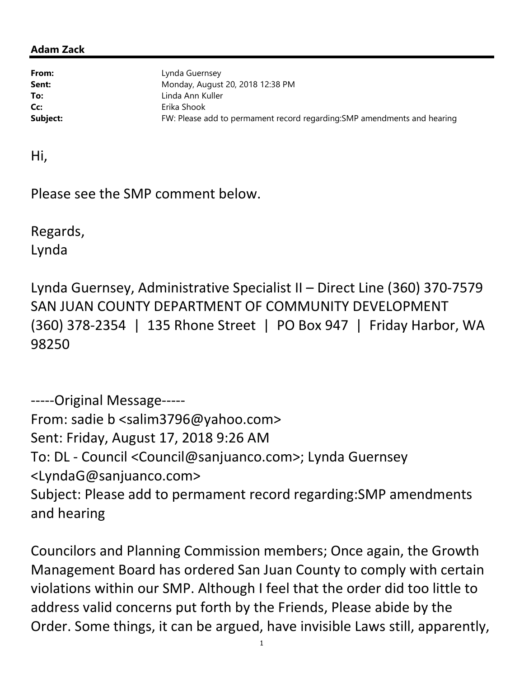## Adam Zack

From: Lynda Guernsey **Sent:** Monday, August 20, 2018 12:38 PM To: Linda Ann Kuller Cc: Erika Shook Subject: FW: Please add to permament record regarding: SMP amendments and hearing

Hi,

Please see the SMP comment below.

Regards, Lynda

Lynda Guernsey, Administrative Specialist II – Direct Line (360) 370-7579 SAN JUAN COUNTY DEPARTMENT OF COMMUNITY DEVELOPMENT (360) 378-2354 | 135 Rhone Street | PO Box 947 | Friday Harbor, WA 98250

-----Original Message----- From: sadie b <salim3796@yahoo.com> Sent: Friday, August 17, 2018 9:26 AM To: DL - Council <Council@sanjuanco.com>; Lynda Guernsey <LyndaG@sanjuanco.com> Subject: Please add to permament record regarding:SMP amendments and hearing

Councilors and Planning Commission members; Once again, the Growth Management Board has ordered San Juan County to comply with certain violations within our SMP. Although I feel that the order did too little to address valid concerns put forth by the Friends, Please abide by the Order. Some things, it can be argued, have invisible Laws still, apparently,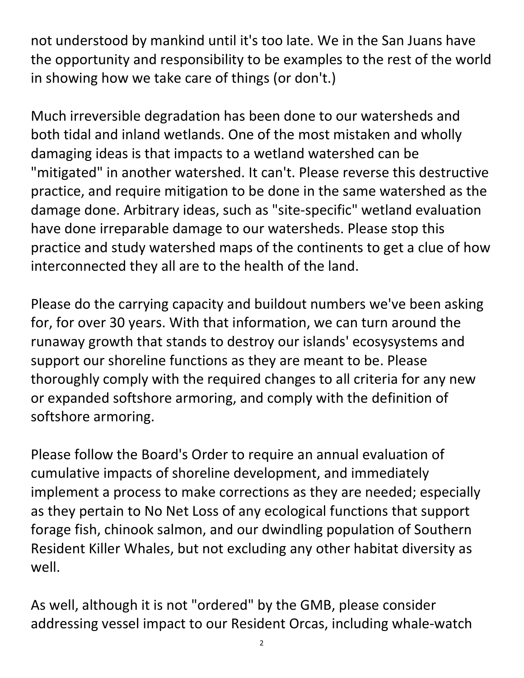not understood by mankind until it's too late. We in the San Juans have the opportunity and responsibility to be examples to the rest of the world in showing how we take care of things (or don't.)

Much irreversible degradation has been done to our watersheds and both tidal and inland wetlands. One of the most mistaken and wholly damaging ideas is that impacts to a wetland watershed can be "mitigated" in another watershed. It can't. Please reverse this destructive practice, and require mitigation to be done in the same watershed as the damage done. Arbitrary ideas, such as "site-specific" wetland evaluation have done irreparable damage to our watersheds. Please stop this practice and study watershed maps of the continents to get a clue of how interconnected they all are to the health of the land.

Please do the carrying capacity and buildout numbers we've been asking for, for over 30 years. With that information, we can turn around the runaway growth that stands to destroy our islands' ecosysystems and support our shoreline functions as they are meant to be. Please thoroughly comply with the required changes to all criteria for any new or expanded softshore armoring, and comply with the definition of softshore armoring.

Please follow the Board's Order to require an annual evaluation of cumulative impacts of shoreline development, and immediately implement a process to make corrections as they are needed; especially as they pertain to No Net Loss of any ecological functions that support forage fish, chinook salmon, and our dwindling population of Southern Resident Killer Whales, but not excluding any other habitat diversity as well.

As well, although it is not "ordered" by the GMB, please consider addressing vessel impact to our Resident Orcas, including whale-watch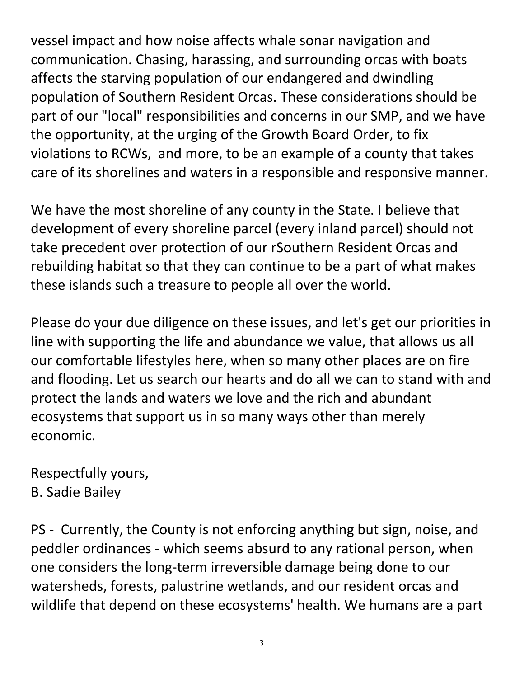vessel impact and how noise affects whale sonar navigation and communication. Chasing, harassing, and surrounding orcas with boats affects the starving population of our endangered and dwindling population of Southern Resident Orcas. These considerations should be part of our "local" responsibilities and concerns in our SMP, and we have the opportunity, at the urging of the Growth Board Order, to fix violations to RCWs, and more, to be an example of a county that takes care of its shorelines and waters in a responsible and responsive manner.

We have the most shoreline of any county in the State. I believe that development of every shoreline parcel (every inland parcel) should not take precedent over protection of our rSouthern Resident Orcas and rebuilding habitat so that they can continue to be a part of what makes these islands such a treasure to people all over the world.

Please do your due diligence on these issues, and let's get our priorities in line with supporting the life and abundance we value, that allows us all our comfortable lifestyles here, when so many other places are on fire and flooding. Let us search our hearts and do all we can to stand with and protect the lands and waters we love and the rich and abundant ecosystems that support us in so many ways other than merely economic.

Respectfully yours, B. Sadie Bailey

PS - Currently, the County is not enforcing anything but sign, noise, and peddler ordinances - which seems absurd to any rational person, when one considers the long-term irreversible damage being done to our watersheds, forests, palustrine wetlands, and our resident orcas and wildlife that depend on these ecosystems' health. We humans are a part